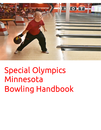

# Special Olympics Minnesota Bowling Handbook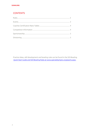# **CONTENTS**

Practice ideas, skill development and bowling rules can be found in the SOI Bowling Quick Start Guide and SOI Bowling Rules at www.specialolympics.org/sports.aspx.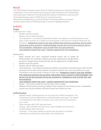## RULES

The Official Special Olympics Sports Rules for Bowling shall govern all Special Olympics competitions. As an international sports program, Special Olympics has created these rules based upon Federation Internationale des Quilleurs (FIQ) Rules as well as World Tenpin Bowling Association (WTBA) Rules for bowling found at http://www.worldbowling.org. Special Olympics Minnesota adheres to Special Olympics Sports Rules for Bowling except in instances highlighted below.

## **EVENTS**

## **Singles**

Traditional (non- ramp)

- Bowlers bowl two games.
- Bowlers will not alternate lanes.
- Lane Assistants one assistant allowed per athlete. No physical or verbal assistance can be given. A lane assistant for a singles non-ramp bowler is only there for medical, behavioral, etc. assistance. Delegations need to note their athletes that need lane assistance during online registration and an assistant credential/badge must be worn by the lane assistant during the competition. Delegations must provide their own lane assistants.
- Lane assistants need to be Level 1 coaches registered for the competition.

## Ramp Events

- Ramp assisted and ramp unassisted bowling events will no longer be differentiated. (For example, athletes previously registered for Singles Ramp Assisted or Singles Ramp Unassisted will now be registered for Singles Ramp)
- Bowlers bowl two games.
- Bowlers will not alternate lanes.
- Lane Assistants one assistant allowed per athlete. No assistance should be given with forward movement of the ball. A lane assistant can place the ball on the ramp and position the ramp. The athlete must set the ball in motion on their own. Delegations need to note their athletes that need lane assistance during online registration and an assistant credential/badge must be worn by the lane assistant during the competition. Delegations must provide their own lane assistants.
- Lane assistants need to be Level 1 coaches registered for the competition.
- Ramps if the ramp crosses the foul line then a foul is called.
- Athletes should practice bowling multiple frames instead of one frame at a time. Competition venues may vary but athletes will bowl at least two frames at a time.

## **Unified Doubles**

- Athletes and/or Unified partners can use ramps for Unified competition. The Unified team must be registered as a Unified doubles ramp team. The athlete or Unified partner that does not need to use a ramp will not be required to use a ramp.
- Team members WILL NOT alternate lanes.
- Scoring team member one final score + team member two final score = Unified doubles team final score.
- Scratches if one team member scratches then the team is scratched. Individuals can still bowl for participation. No substitutions.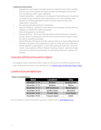### **Additional Information**

- Delegations must register enough coaches to meet the coach ratios. Unified Partners can count towards the ratios provided the delegation has at least one non-playing Level 2 coach registered.
- Closed competition coaches are not allowed in the bowling area. Exceptions are made for lane assistants with ramp bowlers or for lane assistants with bowlers for behavioral/medical reasons (must be noted during online registration in advance).
- No coaching allowed during the competition.
- Hats and Clothing bowling or team shirts are encouraged. No hats allowed. Helmets are allowed for medical purposes.
- Flash photography is not allowed.
- Bumper Bowling this is not a Special Olympics Minnesota event. Bumpers may be used as a training tool, but the scores obtained with bumpers cannot be used as a qualifying average.
- Special Olympics Minnesota provides opportunities to as many ability levels as possible in all sports. Many adaptations made for other sports are offered to enable athletes to participate in a sport they otherwise could not. This is the reason ramp bowling is offered. Bumper bowling, however, does not change the manner in which someone bowls. It only changes the score a person can achieve.

# COACHES CERTIFICATION RATIO TABLES

The updated Coach Certification Ratio Tables can be found in the SOMN Coaches Portal under Policies & Fact Sheets, or by clicking this link: [SOMN Coach Certification Ratio Tables](https://coach.specialolympicsminnesota.org/wp-content/uploads/sites/11/2019/08/coach_certificationratiotable.pdf)

# COMPETITION INFORMATION

## **State Competitions**

| <b>Date</b>    | Location             | City                 |
|----------------|----------------------|----------------------|
| November 11-13 | <b>Bowlero</b>       | <b>Brooklyn Park</b> |
| November 12-13 | <b>Bowlero</b>       | <b>Blaine</b>        |
| November 12-13 | <b>AMF Southtown</b> | Bloomington          |
| November 18-19 | Garden Center        | Alexandria           |
| November 18-20 | <b>Thunder Alley</b> | <b>Grand Rapids</b>  |
| November 19-20 | Treasure Island      | Welch                |

For any regional or state competition questions, please contact [sports@somn.org.](mailto:sports@somn.org)